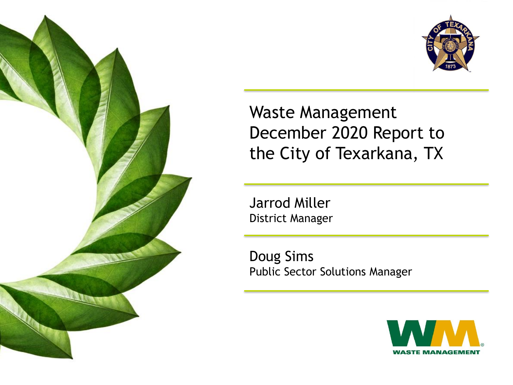



Waste Management December 2020 Report to the City of Texarkana, TX

Jarrod Miller District Manager

Doug Sims Public Sector Solutions Manager

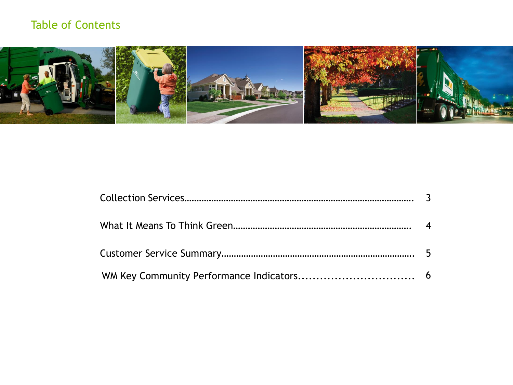## Table of Contents

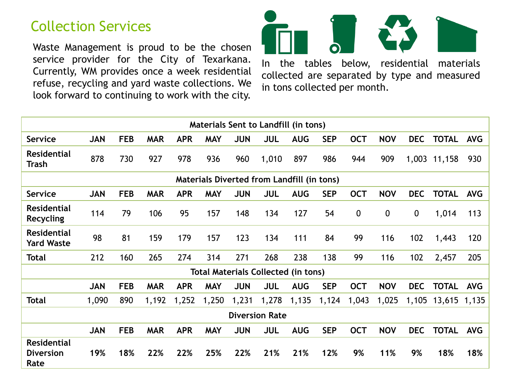# Collection Services

Waste Management is proud to be the chosen service provider for the City of Texarkana. Currently, WM provides once a week residential refuse, recycling and yard waste collections. We look forward to continuing to work with the city.



In the tables below, residential materials collected are separated by type and measured in tons collected per month.

| Materials Sent to Landfill (in tons)              |            |            |            |            |            |            |                                            |            |            |              |             |            |              |            |
|---------------------------------------------------|------------|------------|------------|------------|------------|------------|--------------------------------------------|------------|------------|--------------|-------------|------------|--------------|------------|
| <b>Service</b>                                    | <b>JAN</b> | <b>FEB</b> | <b>MAR</b> | <b>APR</b> | <b>MAY</b> | <b>JUN</b> | JUL                                        | <b>AUG</b> | <b>SEP</b> | <b>OCT</b>   | <b>NOV</b>  | <b>DEC</b> | <b>TOTAL</b> | <b>AVG</b> |
| <b>Residential</b><br><b>Trash</b>                | 878        | 730        | 927        | 978        | 936        | 960        | 1,010                                      | 897        | 986        | 944          | 909         | 1,003      | 11,158       | 930        |
| <b>Materials Diverted from Landfill (in tons)</b> |            |            |            |            |            |            |                                            |            |            |              |             |            |              |            |
| <b>Service</b>                                    | <b>JAN</b> | <b>FEB</b> | <b>MAR</b> | <b>APR</b> | <b>MAY</b> | <b>JUN</b> | JUL                                        | <b>AUG</b> | <b>SEP</b> | <b>OCT</b>   | <b>NOV</b>  | <b>DEC</b> | <b>TOTAL</b> | <b>AVG</b> |
| <b>Residential</b><br>Recycling                   | 114        | 79         | 106        | 95         | 157        | 148        | 134                                        | 127        | 54         | $\mathbf{0}$ | $\mathbf 0$ | 0          | 1,014        | 113        |
| <b>Residential</b><br><b>Yard Waste</b>           | 98         | 81         | 159        | 179        | 157        | 123        | 134                                        | 111        | 84         | 99           | 116         | 102        | 1,443        | 120        |
| <b>Total</b>                                      | 212        | 160        | 265        | 274        | 314        | 271        | 268                                        | 238        | 138        | 99           | 116         | 102        | 2,457        | 205        |
|                                                   |            |            |            |            |            |            | <b>Total Materials Collected (in tons)</b> |            |            |              |             |            |              |            |
|                                                   | <b>JAN</b> | <b>FEB</b> | <b>MAR</b> | <b>APR</b> | <b>MAY</b> | <b>JUN</b> | <b>JUL</b>                                 | <b>AUG</b> | <b>SEP</b> | <b>OCT</b>   | <b>NOV</b>  | <b>DEC</b> | <b>TOTAL</b> | <b>AVG</b> |
| <b>Total</b>                                      | 1,090      | 890        | 1,192      | 1,252      | 1,250      | 1,231      | 1,278                                      | 1,135      | 1,124      | 1,043        | 1,025       | 1,105      | 13,615       | 1,135      |
|                                                   |            |            |            |            |            |            | <b>Diversion Rate</b>                      |            |            |              |             |            |              |            |
|                                                   | <b>JAN</b> | <b>FEB</b> | <b>MAR</b> | <b>APR</b> | <b>MAY</b> | <b>JUN</b> | <b>JUL</b>                                 | <b>AUG</b> | <b>SEP</b> | <b>OCT</b>   | <b>NOV</b>  | <b>DEC</b> | <b>TOTAL</b> | <b>AVG</b> |
| <b>Residential</b><br><b>Diversion</b><br>Rate    | 19%        | 18%        | 22%        | 22%        | 25%        | 22%        | 21%                                        | 21%        | 12%        | 9%           | 11%         | 9%         | 18%          | 18%        |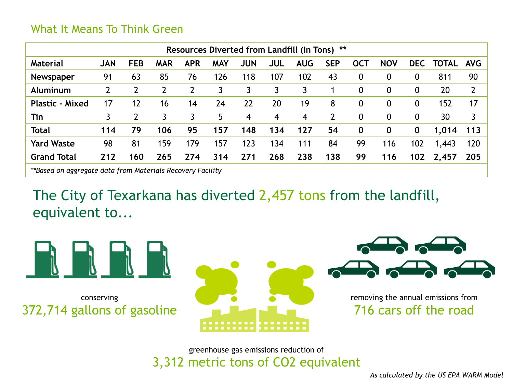### What It Means To Think Green

| Resources Diverted from Landfill (In Tons) **              |            |            |                |            |            |            |            |            |                |             |             |            |              |                |
|------------------------------------------------------------|------------|------------|----------------|------------|------------|------------|------------|------------|----------------|-------------|-------------|------------|--------------|----------------|
| <b>Material</b>                                            | <b>JAN</b> | <b>FEB</b> | <b>MAR</b>     | <b>APR</b> | <b>MAY</b> | <b>JUN</b> | <b>JUL</b> | <b>AUG</b> | <b>SEP</b>     | <b>OCT</b>  | <b>NOV</b>  | <b>DEC</b> | <b>TOTAL</b> | <b>AVG</b>     |
| <b>Newspaper</b>                                           | 91         | 63         | 85             | 76         | 126        | 118        | 107        | 102        | 43             | $\mathbf 0$ | 0           | 0          | 811          | 90             |
| Aluminum                                                   | 2          | 2          | $\overline{2}$ |            | 3          | 3          | 3          | 3          |                | 0           | $\mathbf 0$ | 0          | 20           | $\overline{2}$ |
| <b>Plastic - Mixed</b>                                     | 17         | 12         | 16             | 14         | 24         | 22         | 20         | 19         | 8              | 0           | $\mathbf 0$ | 0          | 152          | 17             |
| Tin                                                        | 3          |            | 3              |            | 5          | 4          | 4          | 4          | $\overline{2}$ | 0           | $\mathbf 0$ | 0          | 30           | 3              |
| <b>Total</b>                                               | 114        | 79         | 106            | 95         | 157        | 148        | 134        | 127        | 54             | $\bf{0}$    | $\mathbf 0$ | 0          | 1,014        | 113            |
| <b>Yard Waste</b>                                          | 98         | 81         | 159            | 179        | 157        | 123        | 134        | 111        | 84             | 99          | 116         | 102        | 1,443        | 120            |
| <b>Grand Total</b>                                         | 212        | 160        | 265            | 274        | 314        | 271        | 268        | 238        | 138            | 99          | 116         | 102        | 2,457        | 205            |
| **Based on aggregate data from Materials Recovery Facility |            |            |                |            |            |            |            |            |                |             |             |            |              |                |

The City of Texarkana has diverted 2,457 tons from the landfill, equivalent to...



conserving 372,714 gallons of gasoline





removing the annual emissions from 716 cars off the road

### greenhouse gas emissions reduction of 3,312 metric tons of CO2 equivalent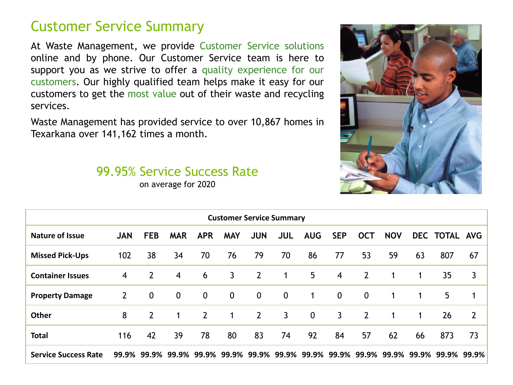## Customer Service Summary

At Waste Management, we provide Customer Service solutions online and by phone. Our Customer Service team is here to support you as we strive to offer a quality experience for our customers. Our highly qualified team helps make it easy for our customers to get the most value out of their waste and recycling services.

Waste Management has provided service to over 10,867 homes in Texarkana over 141,162 times a month.

## 99.95% Service Success Rate

on average for 2020



| <b>Customer Service Summary</b> |            |                |                   |                |             |                   |             |             |                |                |                               |    |               |                |
|---------------------------------|------------|----------------|-------------------|----------------|-------------|-------------------|-------------|-------------|----------------|----------------|-------------------------------|----|---------------|----------------|
| <b>Nature of Issue</b>          | <b>JAN</b> | <b>FEB</b>     | <b>MAR</b>        | <b>APR</b>     | <b>MAY</b>  | <b>JUN</b>        | <b>JUL</b>  | <b>AUG</b>  | <b>SEP</b>     | <b>OCT</b>     | <b>NOV</b>                    |    | DEC TOTAL AVG |                |
| <b>Missed Pick-Ups</b>          | 102        | 38             | 34                | 70             | 76          | 79                | 70          | 86          | 77             | 53             | 59                            | 63 | 807           | 67             |
| <b>Container Issues</b>         | 4          | $\overline{2}$ | $\overline{4}$    | 6              | 3           | $\overline{2}$    | 1           | 5           | $\overline{4}$ | $\overline{2}$ |                               | 1  | 35            | 3              |
| <b>Property Damage</b>          | 2          | $\mathbf 0$    | $\mathbf 0$       | $\mathbf 0$    | $\mathbf 0$ | $\mathbf 0$       | $\mathbf 0$ | 1           | $\mathbf{0}$   | $\mathbf 0$    | 1                             | 1  | 5             | 1              |
| Other                           | 8          | $\overline{2}$ | $\mathbf 1$       | $\overline{2}$ | 1           | $2^{\circ}$       | 3           | $\mathbf 0$ | $\mathbf{3}$   | $\overline{2}$ | 1                             | 1  | 26            | $\overline{2}$ |
| <b>Total</b>                    | 116        | 42             | 39                | 78             | 80          | 83                | 74          | 92          | 84             | 57             | 62                            | 66 | 873           | 73             |
| <b>Service Success Rate</b>     | 99.9%      |                | 99.9% 99.9% 99.9% |                |             | 99.9% 99.9% 99.9% |             |             |                |                | 99.9% 99.9% 99.9% 99.9% 99.9% |    | 99.9%         | 99.9%          |